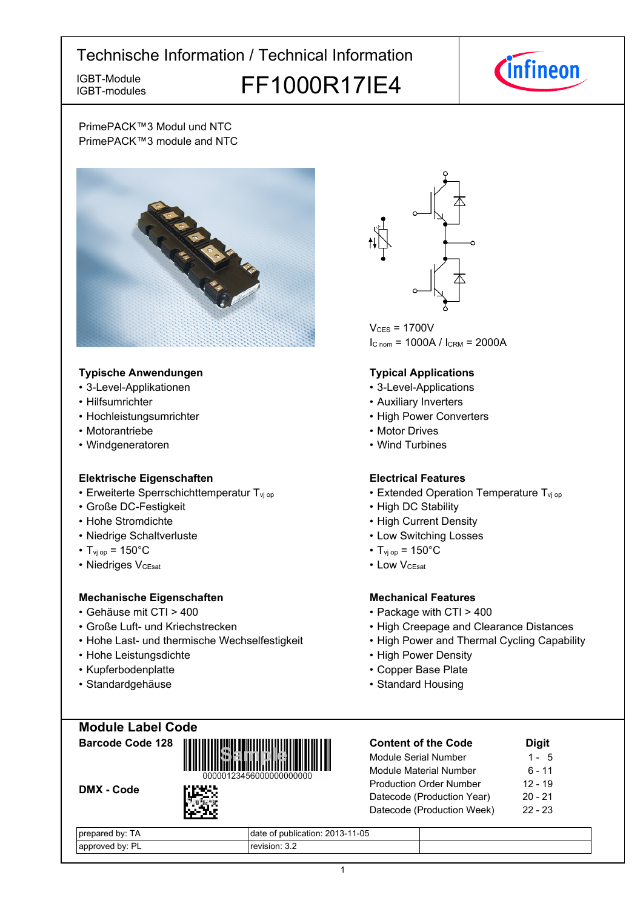IGBT-modules

# IGBT-Module<br>IGBT-modules FF1000R17IE4



PrimePACK™3 Modul und NTC PrimePACK™3 module and NTC



### **Typische-Anwendungen Typical-**

- 3-Level-Applikationen 3-Level-Applications
- Hilfsumrichter
- Hochleistungsumrichter
- Motorantriebe
- Windgeneratoren

## **Elektrische Eigenschaften Electrical-**

- Erweiterte Sperrschichttemperatur T<sub>vj</sub>
- Große-DC-Festigkeit High-
- Hohe-Stromdichte High-
- Niedrige-Schaltverluste Low-
- $T_{\text{vj}}$  op = 150°C T<sub>vj</sub>
- Niedriges V<sub>CEsat</sub>

## **Mechanische Eigenschaften Mechanical-**

- Gehäuse mit CTI >
- Große Luft- und Kriechstrecken High
- Hohe Last- und thermische Wechselfestigkeit High
- Hohe-Leistungsdichte High-
- Kupferbodenplatte
- Standardgehäuse



 $V_{CFS}$  = 1700V  $I_{C \text{ nom}} = 1000A / I_{CRM} = 2000A$ 

## **Typical Applications**

- 
- Auxiliary Inverters
- Power Converters
- Motor Drives
- Wind Turbines

### **Electrical Features**

- op  **Extended Operation Temperature T**<sub>vj op</sub>
	- DC Stability
	- **Current Density**
	- Switching Losses
	- $_{\text{op}}$  = 150°C
- V<sub>CEsat</sub> Low • Low V<sub>CEsat</sub>

## **Mechanical Features**

- 400 Package with CTI > 400
	- Creepage and Clearance Distances
	- Power and Thermal Cycling Capability
	- Power Density
	- Base-Plate
	- Standard Housing

|  |  | <b>Module Label Code</b> |  |
|--|--|--------------------------|--|
|  |  |                          |  |

**Barcode-Code-128**

DMX - Code



| <b>Content of the Code</b>     | <b>Digit</b> |
|--------------------------------|--------------|
| Module Serial Number           | 1 - 5        |
| Module Material Number         | 6 - 11       |
| <b>Production Order Number</b> | $12 - 19$    |
| Datecode (Production Year)     | $20 - 21$    |
| Datecode (Production Week)     | $22 - 23$    |
|                                |              |

| bv.<br>IΑ                           | $1-05$<br>2013<br>ublication: 2013-1<br>dat |  |
|-------------------------------------|---------------------------------------------|--|
| DI<br>hv.<br>annre:<br>:nver<br>. . | ∩vision: 3.≿                                |  |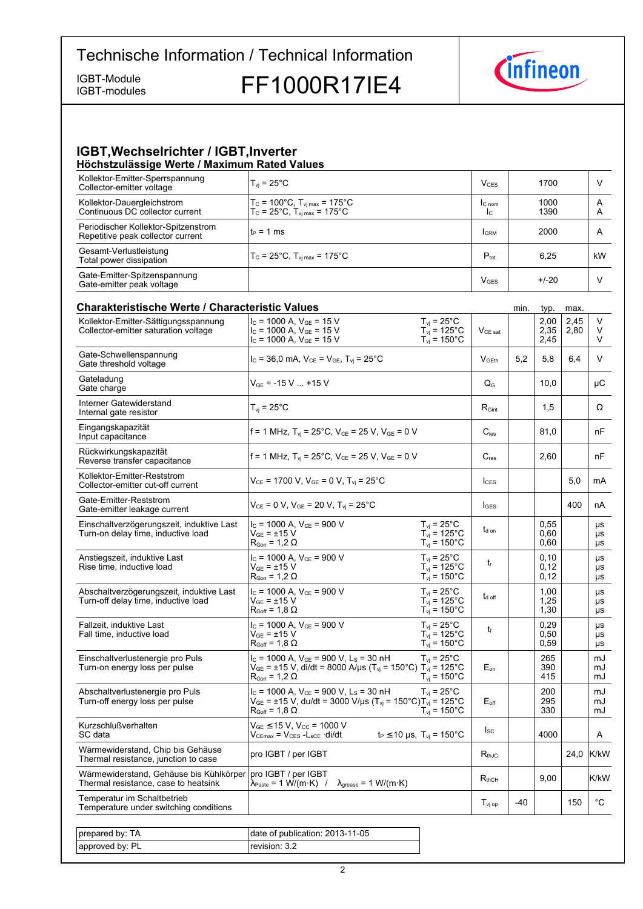IGBT-modules

IGBT-Module<br>IGBT-modules FF1000R17IE4



### **IGBT, Wechselrichter / IGBT, Inverter Höchstzulässige-Werte-/-Maximum-Rated-Values**

| Kollektor-Emitter-Sperrspannung<br>Collector-emitter voltage             | $T_{vi}$ = 25°C                                                                                              | V <sub>CES</sub>         | 1700         |        |
|--------------------------------------------------------------------------|--------------------------------------------------------------------------------------------------------------|--------------------------|--------------|--------|
| Kollektor-Dauergleichstrom<br>Continuous DC collector current            | $T_c = 100^{\circ}$ C, $T_{vi \, max} = 175^{\circ}$ C<br>$T_c = 25^{\circ}$ C, $T_{vi max} = 175^{\circ}$ C | IC <sub>nom</sub><br>Ic. | 1000<br>1390 | A<br>A |
| Periodischer Kollektor-Spitzenstrom<br>Repetitive peak collector current | lt∍ = 1 ms                                                                                                   | <b>I</b> CRM             | 2000         | A      |
| Gesamt-Verlustleistung<br>Total power dissipation                        | $T_c$ = 25°C, $T_{\text{vir}}$ = 175°C                                                                       | $P_{\text{tot}}$         | 6.25         | kW     |
| Gate-Emitter-Spitzenspannung<br>Gate-emitter peak voltage                |                                                                                                              | <b>V<sub>GES</sub></b>   | $+/-20$      |        |

| <b>Charakteristische Werte / Characteristic Values</b>                          |                                                                                                                                                                                                 |                                                                                   |                       | min.  | typ.                 | max.         |                       |
|---------------------------------------------------------------------------------|-------------------------------------------------------------------------------------------------------------------------------------------------------------------------------------------------|-----------------------------------------------------------------------------------|-----------------------|-------|----------------------|--------------|-----------------------|
| Kollektor-Emitter-Sättigungsspannung<br>Collector-emitter saturation voltage    | $I_c$ = 1000 A, $V_{GE}$ = 15 V<br>$I_c$ = 1000 A, $V_{GE}$ = 15 V<br>$I_c$ = 1000 A, $V_{GE}$ = 15 V                                                                                           | $T_{vi}$ = 25°C<br>$T_{\text{vj}}$ = 125°C<br>$T_{vi}$ = 150 $^{\circ}$ C         | $V_{CE\ sat}$         |       | 2,00<br>2,35<br>2,45 | 2,45<br>2,80 | V<br>V<br>V           |
| Gate-Schwellenspannung<br>Gate threshold voltage                                | $I_c = 36,0$ mA, $V_{CE} = V_{GE}$ , $T_{vi} = 25^{\circ}$ C                                                                                                                                    |                                                                                   | V <sub>GEth</sub>     | 5,2   | 5,8                  | 6,4          | V                     |
| Gateladung<br>Gate charge                                                       | $V_{GE}$ = -15 V  +15 V                                                                                                                                                                         |                                                                                   | $Q_{G}$               |       | 10,0                 |              | μC                    |
| Interner Gatewiderstand<br>Internal gate resistor                               | $T_{\rm vj}$ = 25°C                                                                                                                                                                             |                                                                                   | $R_{\text{Gint}}$     |       | 1,5                  |              | Ω                     |
| Eingangskapazität<br>Input capacitance                                          | f = 1 MHz, $T_{vi}$ = 25°C, $V_{CE}$ = 25 V, $V_{GE}$ = 0 V                                                                                                                                     |                                                                                   | $C_{\text{ies}}$      |       | 81.0                 |              | nF                    |
| Rückwirkungskapazität<br>Reverse transfer capacitance                           | f = 1 MHz, T <sub>vi</sub> = 25°C, V <sub>CE</sub> = 25 V, V <sub>GE</sub> = 0 V                                                                                                                |                                                                                   | $C_{res}$             |       | 2,60                 |              | nF                    |
| Kollektor-Emitter-Reststrom<br>Collector-emitter cut-off current                | $V_{CE}$ = 1700 V, $V_{GE}$ = 0 V, $T_{vi}$ = 25°C                                                                                                                                              |                                                                                   | $l_{CFS}$             |       |                      | 5,0          | mA                    |
| Gate-Emitter-Reststrom<br>Gate-emitter leakage current                          | $V_{CE} = 0 V$ , $V_{GE} = 20 V$ , $T_{vi} = 25^{\circ}$ C                                                                                                                                      |                                                                                   | $I_{\text{GES}}$      |       |                      | 400          | nA                    |
| Einschaltverzögerungszeit, induktive Last<br>Turn-on delay time, inductive load | $I_c$ = 1000 A, $V_{CE}$ = 900 V<br>$V_{GF}$ = ±15 V<br>$R_{\text{Gon}} = 1.2 \Omega$                                                                                                           | $T_{\rm vj}$ = 25°C<br>$T_{vi}$ = 125°C<br>$T_{vi}$ = 150 $^{\circ}$ C            | $t_{d \text{ on}}$    |       | 0.55<br>0,60<br>0,60 |              | μs<br>μs<br>μs        |
| Anstiegszeit, induktive Last<br>Rise time, inductive load                       | $I_c$ = 1000 A, $V_{CE}$ = 900 V<br>$V_{GF} = \pm 15 V$<br>$R_{\text{Gon}} = 1,2 \Omega$                                                                                                        | $T_{vi}$ = 25 $^{\circ}$ C<br>$T_{vi}$ = 125°C<br>$T_{\text{vj}}$ = 150°C         | $t_{r}$               |       | 0.10<br>0,12<br>0,12 |              | μs<br>μs<br>μs        |
| Abschaltverzögerungszeit, induktive Last<br>Turn-off delay time, inductive load | $I_c$ = 1000 A, $V_{CE}$ = 900 V<br>$V_{GF}$ = $\pm 15$ V<br>$R_{Goff}$ = 1,8 $\Omega$                                                                                                          | $T_{vi}$ = 25°C<br>$T_{\text{vj}}$ = 125 $^{\circ}$ C<br>$T_{vi} = 150^{\circ}$ C | $t_{\text{d off}}$    |       | 1,00<br>1,25<br>1,30 |              | μs<br><b>US</b><br>μs |
| Fallzeit, induktive Last<br>Fall time, inductive load                           | $I_c$ = 1000 A, $V_{CE}$ = 900 V<br>$V_{GF}$ = ±15 V<br>$R_{Goff}$ = 1,8 $\Omega$                                                                                                               | $T_{vi} = 25^{\circ}$ C<br>$T_{vi}$ = 125°C<br>$T_{\rm vj} = 150^{\circ}$ C       | t                     |       | 0,29<br>0,50<br>0,59 |              | μs<br>μs<br>μs        |
| Einschaltverlustenergie pro Puls<br>Turn-on energy loss per pulse               | $I_c$ = 1000 A, $V_{CE}$ = 900 V, L <sub>s</sub> = 30 nH<br>$V_{GE}$ = ±15 V, di/dt = 8000 A/µs (T <sub>vj</sub> = 150°C) T <sub>vj</sub> = 125°C<br>$R_{Gon}$ = 1,2 $\Omega$                   | $T_{vi}$ = 25 $^{\circ}$ C<br>$T_{vi}$ = 150 $^{\circ}$ C                         | $E_{on}$              |       | 265<br>390<br>415    |              | mJ<br>mJ<br>mJ        |
| Abschaltverlustenergie pro Puls<br>Turn-off energy loss per pulse               | $I_C$ = 1000 A, $V_{CE}$ = 900 V, L <sub>S</sub> = 30 nH<br>$V_{GE}$ = ±15 V, du/dt = 3000 V/µs (T <sub>vj</sub> = 150°C)T <sub>vj</sub> = 125°C<br>$\mathsf{R}_{\mathsf{Goff}}$ = 1,8 $\Omega$ | $T_{\text{vj}}$ = 25°C<br>$T_{\rm{vj}}$ = 150 $^{\circ}$ C                        | $E_{\text{off}}$      |       | 200<br>295<br>330    |              | mJ<br>mJ<br>mJ        |
| Kurzschlußverhalten<br>SC data                                                  | $V_{GE}$ $\leq$ 15 V, V <sub>CC</sub> = 1000 V<br>$V_{CEmax} = V_{CES} - L_{sCE} \cdot di/dt$                                                                                                   | $t_P \le 10 \text{ }\mu\text{s}, \text{ } T_{\text{vj}} = 150^{\circ}\text{C}$    | $I_{SC}$              |       | 4000                 |              | A                     |
| Wärmewiderstand, Chip bis Gehäuse<br>Thermal resistance, junction to case       | pro IGBT / per IGBT                                                                                                                                                                             |                                                                                   | $R_{thJC}$            |       |                      | 24,0         | K/kW                  |
| Wärmewiderstand, Gehäuse bis Kühlkörper<br>Thermal resistance, case to heatsink | pro IGBT / per IGBT<br>$\lambda_{\text{grease}} = 1 \text{ W/(m·K)}$<br>$\lambda_{\text{Paste}} = 1 \text{ W/(m·K)}$ /                                                                          |                                                                                   | $R_{thCH}$            |       | 9,00                 |              | K/kW                  |
| Temperatur im Schaltbetrieb<br>Temperature under switching conditions           |                                                                                                                                                                                                 |                                                                                   | $T_{\mathsf{vj\,op}}$ | $-40$ |                      | 150          | °C                    |
|                                                                                 |                                                                                                                                                                                                 |                                                                                   |                       |       |                      |              |                       |
| prepared by: TA                                                                 | date of publication: 2013-11-05                                                                                                                                                                 |                                                                                   |                       |       |                      |              |                       |
| approved by: PL                                                                 | revision: 3.2                                                                                                                                                                                   |                                                                                   |                       |       |                      |              |                       |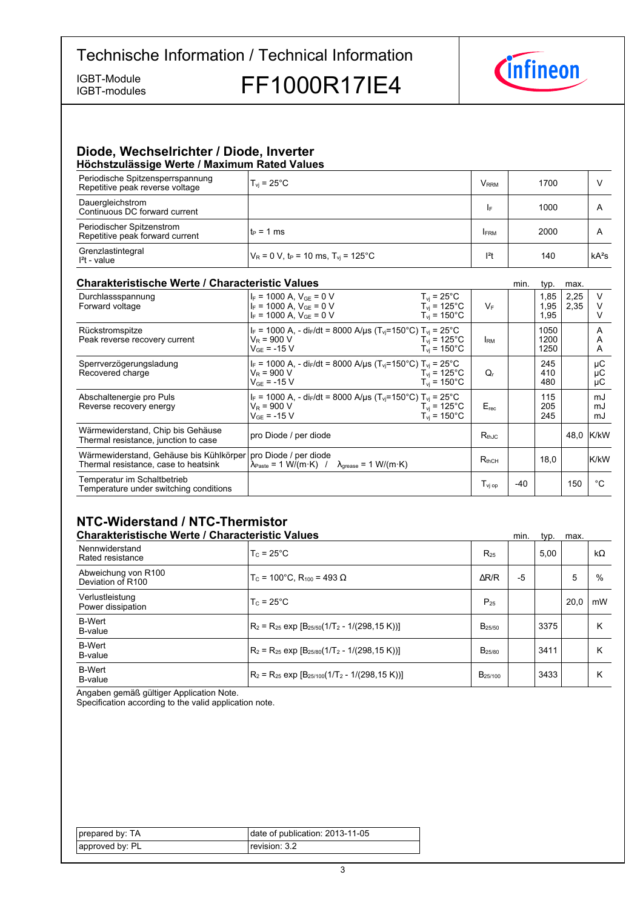IGBT-modules

IGBT-Module<br>IGBT-modules FF1000R17IE4



### **Diode,-Wechselrichter-/-Diode,-Inverter Höchstzulässige-Werte-/-Maximum-Rated-Values**

| <u>HOOHOLEUROORJO TTOLIO / MUANHUHH RULOU TUROO</u>                 |                                                              |                         |      |         |
|---------------------------------------------------------------------|--------------------------------------------------------------|-------------------------|------|---------|
| Periodische Spitzensperrspannung<br>Repetitive peak reverse voltage | $T_{vi}$ = 25°C                                              | <b>V</b> <sub>RRM</sub> | 1700 |         |
| Dauergleichstrom<br>Continuous DC forward current                   |                                                              | I۴                      | 1000 | A       |
| Periodischer Spitzenstrom<br>Repetitive peak forward current        | $t_P = 1$ ms                                                 | <b>IFRM</b>             | 2000 | A       |
| Grenzlastintegral<br>$I2t - value$                                  | $V_R = 0$ V, t <sub>P</sub> = 10 ms, T <sub>vi</sub> = 125°C | $ ^{2}t$                | 140  | $kA^2s$ |

## **Charakteristische Werte / Characteristic**

| <b>Charakteristische Werte / Characteristic Values</b><br>min.                  |                                                                                                                                                 |                                                                 |                   | typ. | max.                 |              |                |
|---------------------------------------------------------------------------------|-------------------------------------------------------------------------------------------------------------------------------------------------|-----------------------------------------------------------------|-------------------|------|----------------------|--------------|----------------|
| Durchlassspannung<br>Forward voltage                                            | $I_F$ = 1000 A, $V_{GF}$ = 0 V<br>$I_F = 1000$ A, $V_{GE} = 0$ V<br>$I_F = 1000$ A, $V_{GE} = 0$ V                                              | $T_{vi}$ = 25°C<br>$T_{\rm vi}$ = 125°C<br>$T_{\rm vi}$ = 150°C | $V_F$             |      | 1,85<br>1,95<br>1,95 | 2,25<br>2,35 | V              |
| Rückstromspitze<br>Peak reverse recovery current                                | $I_F$ = 1000 A, - di <sub>F</sub> /dt = 8000 A/µs (T <sub>vi</sub> =150°C) T <sub>vi</sub> = 25°C<br>$V_R$ = 900 V<br>$V_{GF}$ = -15 V          | $T_{\rm vi}$ = 125°C<br>$T_{\rm vi}$ = 150°C                    | <b>IRM</b>        |      | 1050<br>1200<br>1250 |              | A<br>A<br>A    |
| Sperrverzögerungsladung<br>Recovered charge                                     | $I_F = 1000$ A, - di $_F/dt = 8000$ A/µs (T <sub>vi</sub> =150°C) T <sub>vi</sub> = 25°C<br>$V_R$ = 900 V<br>$V_{GF}$ = -15 V                   | $T_{\rm vi}$ = 125°C.<br>$T_{\rm vi}$ = 150°C                   | Q,                |      | 245<br>410<br>480    |              | μC<br>μC<br>μC |
| Abschaltenergie pro Puls<br>Reverse recovery energy                             | $I_F = 1000$ A, - di <sub>F</sub> /dt = 8000 A/us (T <sub>vi</sub> =150°C) T <sub>vi</sub> = 25°C<br>$V_R$ = 900 V<br>$V_{GF}$ = -15 V          | $T_{vi}$ = 125°C<br>$T_{\rm vi}$ = 150°C                        | $E_{rec}$         |      | 115<br>205<br>245    |              | mJ<br>mJ<br>mJ |
| Wärmewiderstand, Chip bis Gehäuse<br>Thermal resistance, junction to case       | pro Diode / per diode                                                                                                                           |                                                                 | $R_{thJC}$        |      |                      |              | 48,0 K/kW      |
| Wärmewiderstand, Gehäuse bis Kühlkörper<br>Thermal resistance, case to heatsink | pro Diode / per diode<br>$\lambda_{\text{Paste}} = 1 \text{ W/(m} \cdot \text{K)}$ / $\lambda_{\text{grease}} = 1 \text{ W/(m} \cdot \text{K)}$ |                                                                 | $R_{thCH}$        |      | 18.0                 |              | K/kW           |
| Temperatur im Schaltbetrieb<br>Temperature under switching conditions           |                                                                                                                                                 |                                                                 | $T_{\rm vi\, oo}$ | -40  |                      | 150          | °€             |

## **NTC-Widerstand-/-NTC-Thermistor**

| <b>Charakteristische Werte / Characteristic Values</b> |                                                          |                           | min. | typ. | max. |           |
|--------------------------------------------------------|----------------------------------------------------------|---------------------------|------|------|------|-----------|
| Nennwiderstand<br>Rated resistance                     | $T_c = 25^{\circ}$ C                                     | $R_{25}$                  |      | 5.00 |      | $k\Omega$ |
| Abweichung von R100<br>Deviation of R100               | $T_c$ = 100°C. R <sub>100</sub> = 493 Ω                  | $\Delta$ R/R              | $-5$ |      | 5    | $\%$      |
| Verlustleistung<br>Power dissipation                   | $T_c = 25^{\circ}$ C                                     | $P_{25}$                  |      |      | 20.0 | mW        |
| <b>B-Wert</b><br>B-value                               | $ R_2 = R_{25}$ exp $[B_{25/50}(1/T_2 - 1/(298, 15 K))]$ | $B_{25/50}$               |      | 3375 |      | ĸ         |
| <b>B-Wert</b><br>B-value                               | $R_2 = R_{25}$ exp $[B_{25/80}(1/T_2 - 1/(298.15 K))]$   | <b>B</b> <sub>25/80</sub> |      | 3411 |      | ĸ         |
| <b>B-Wert</b><br>B-value                               | $R_2 = R_{25}$ exp $[B_{25/100}(1/T_2 - 1/(298, 15 K))]$ | B <sub>25/100</sub>       |      | 3433 |      | κ         |

Angaben gemäß gültiger Application Note.

Specification according to the valid application note.

| prepared by: TA | date of publication: 2013-11-05 |
|-----------------|---------------------------------|
| approved by: PL | revision: 3.2                   |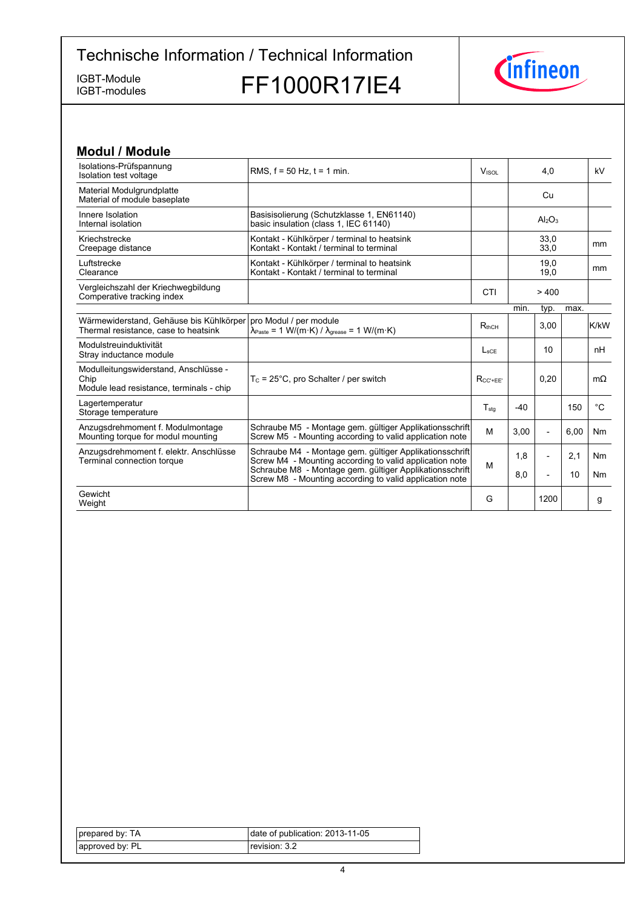IGBT-modules

IGBT-Module<br>IGBT-modules FF1000R17IE4



| <b>Modul / Module</b>                                                                     |                                                                                                                                                |                          |       |                                |      |              |
|-------------------------------------------------------------------------------------------|------------------------------------------------------------------------------------------------------------------------------------------------|--------------------------|-------|--------------------------------|------|--------------|
| Isolations-Prüfspannung<br>Isolation test voltage                                         | RMS. $f = 50$ Hz. $t = 1$ min.                                                                                                                 | <b>V</b> <sub>ISOL</sub> |       | 4,0                            |      | kV           |
| Material Modulgrundplatte<br>Material of module baseplate                                 |                                                                                                                                                |                          |       | Cu                             |      |              |
| Innere Isolation<br>Internal isolation                                                    | Basisisolierung (Schutzklasse 1, EN61140)<br>basic insulation (class 1, IEC 61140)                                                             |                          |       | Al <sub>2</sub> O <sub>3</sub> |      |              |
| Kriechstrecke<br>Creepage distance                                                        | Kontakt - Kühlkörper / terminal to heatsink<br>Kontakt - Kontakt / terminal to terminal                                                        |                          |       | 33,0<br>33,0                   |      | mm           |
| Luftstrecke<br>Clearance                                                                  | Kontakt - Kühlkörper / terminal to heatsink<br>Kontakt - Kontakt / terminal to terminal                                                        |                          |       | 19,0<br>19,0                   |      | mm           |
| Vergleichszahl der Kriechwegbildung<br>Comperative tracking index                         |                                                                                                                                                | CTI                      |       | > 400                          |      |              |
|                                                                                           |                                                                                                                                                |                          | min.  | typ.                           | max. |              |
| Wärmewiderstand, Gehäuse bis Kühlkörper<br>Thermal resistance, case to heatsink           | pro Modul / per module<br>$\lambda_{\text{Paste}} = 1 \text{ W/(m} \cdot \text{K)} / \lambda_{\text{grease}} = 1 \text{ W/(m} \cdot \text{K)}$ | $R_{thCH}$               |       | 3,00                           |      | K/kW         |
| Modulstreuinduktivität<br>Stray inductance module                                         |                                                                                                                                                | $L_{\rm sCF}$            |       | 10                             |      | nH           |
| Modulleitungswiderstand, Anschlüsse -<br>Chip<br>Module lead resistance, terminals - chip | $T_c$ = 25°C, pro Schalter / per switch                                                                                                        | $R_{CC' + EE'}$          |       | 0.20                           |      | $m\Omega$    |
| Lagertemperatur<br>Storage temperature                                                    |                                                                                                                                                | $T_{sta}$                | $-40$ |                                | 150  | $^{\circ}$ C |
| Anzugsdrehmoment f. Modulmontage<br>Mounting torque for modul mounting                    | Schraube M5 - Montage gem. gültiger Applikationsschrift<br>Screw M5 - Mounting according to valid application note                             | M                        | 3,00  | $\overline{\phantom{a}}$       | 6,00 | <b>Nm</b>    |
| Anzugsdrehmoment f. elektr. Anschlüsse<br>Terminal connection torque                      | Schraube M4 - Montage gem. gültiger Applikationsschrift<br>Screw M4 - Mounting according to valid application note                             | M                        | 1,8   | $\overline{\phantom{0}}$       | 2,1  | <b>Nm</b>    |
|                                                                                           | Schraube M8 - Montage gem. gültiger Applikationsschrift<br>Screw M8 - Mounting according to valid application note                             |                          | 8,0   | $\overline{\phantom{0}}$       | 10   | <b>Nm</b>    |
| Gewicht<br>Weight                                                                         |                                                                                                                                                | G                        |       | 1200                           |      | g            |

| prepared by: TA | date of publication: 2013-11-05 |
|-----------------|---------------------------------|
| approved by: PL | revision: 3.2                   |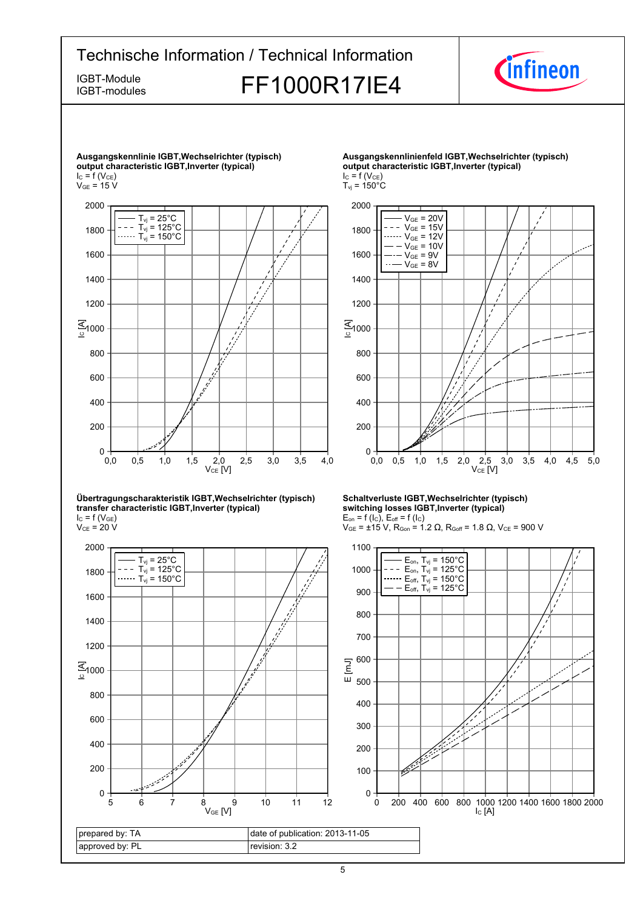## Technische Information / Technical Information IGBT-Module<br>IGBT-modules FF1000R17IE4 IGBT-modules



**Ausgangskennlinie-IGBT,Wechselrichter-(typisch) output-characteristic-IGBT,Inverter-(typical)**  $I_{C} = f(V_{CE})$  $V_{GE}$  = 15 V  $VCE$  [V] <u>द्</u>र<br>≗1000 0,0 0,5 1,0 1,5 2,0 2,5 3,0 3,5 4,0  $^{+6}_{0,0}$ 200 400 600 800 1200 1400 1600 1800 2000  $T_{\text{vj}}$  = 25 $^{\circ}$ C  $T_{\text{vj}} = 125^{\circ}$ C  $T_{\rm vj} = 150^{\circ}$ C

#### **Übertragungscharakteristik-IGBT,Wechselrichter-(typisch) transfer-characteristic-IGBT,Inverter-(typical)**  $I_{C}$  = f (V<sub>GE</sub>)

 $\rm V_{CE}$  = 20 V



#### **Ausgangskennlinienfeld-IGBT,Wechselrichter-(typisch) output-characteristic-IGBT,Inverter-(typical)**  $I_C = f(V_{CE})$

 $T_{\text{vj}}$  = 150 $^{\circ}$ C

 $V_{CE}$  [V] <u>द्</u>र<br>≗ 0,0 0,5 1,0 1,5 2,0 2,5 3,0 3,5 4,0 4,5 5,0  $^{0}$  + 0,0 200 400 600 800 1200 1400 1600 1800 2000  $V_{GE}$  = 20V  $V_{GE} = 15V$  $V_{GE} = 12V$  $V_{GE} = 10V$  $-V_{GE} = 9V$  $V_{CF} = 8V$ 

#### **Schaltverluste-IGBT,Wechselrichter-(typisch) switching-losses-IGBT,Inverter-(typical)**  $E_{on}$  = f (l<sub>C</sub>),  $E_{off}$  = f (l<sub>C</sub>)

 $V_{GE}$  = ±15 V, R<sub>Gon</sub> = 1.2 Ω, R<sub>Goff</sub> = 1.8 Ω, V<sub>CE</sub> = 900 V

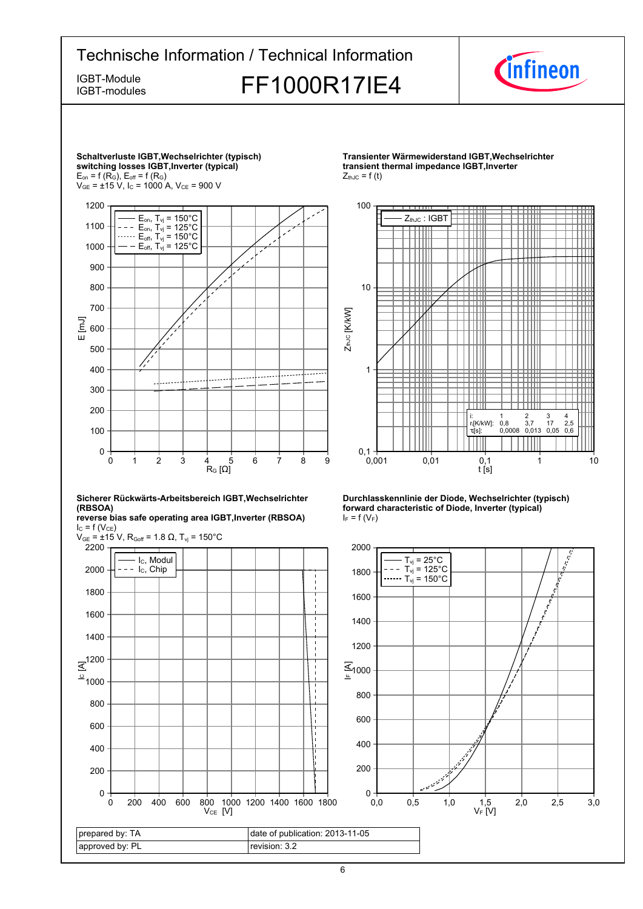



*Cinfineon* 





0

100 200

 $\mathsf{R}_{\mathsf{G}}\left[\Omega\right]$ 

0 1 2 3 4 5 6 7 8 9





**Durchlasskennlinie der Diode, Wechselrichter (typisch) forward characteristic of Diode, Inverter (typical)**  $I_F = f(V_F)$ 

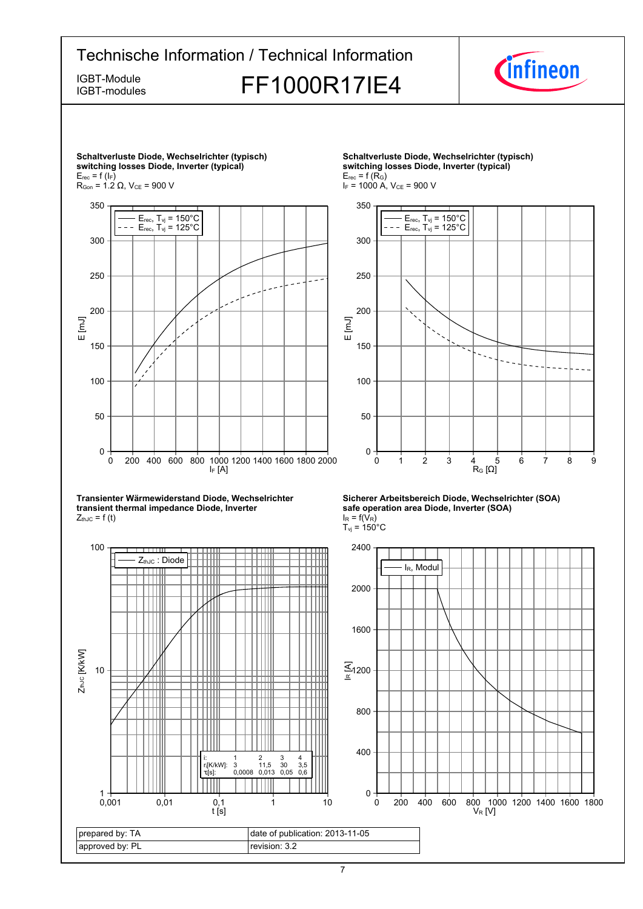

7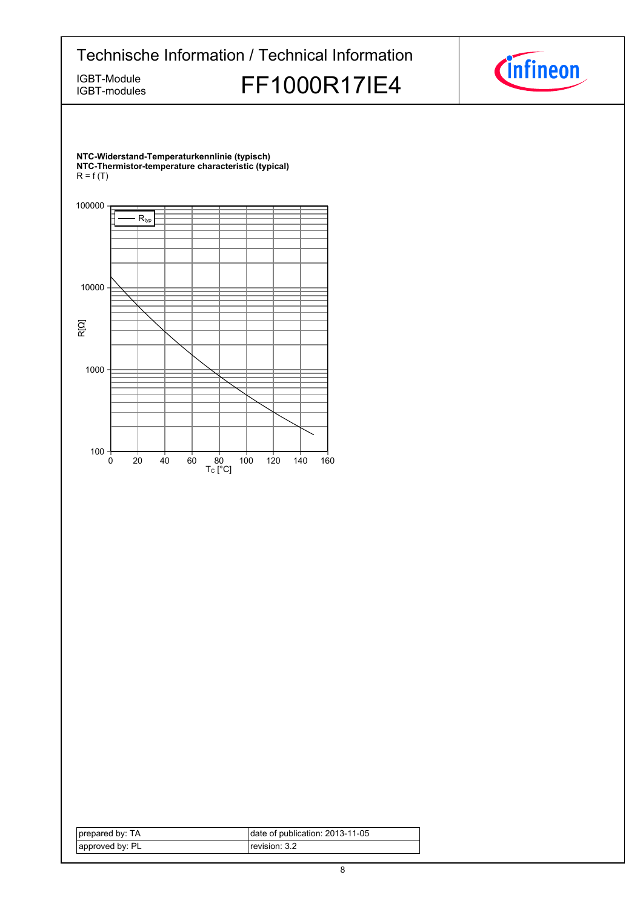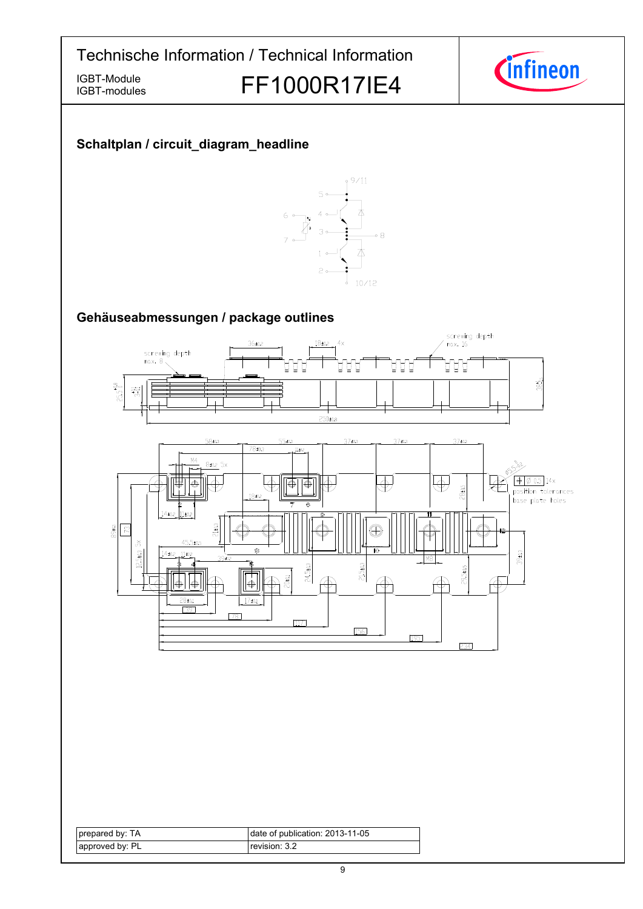IGBT-Module<br>IGBT-modules FF1000R17IE4



## **Schaltplan-/-circuit\_diagram\_headline**

IGBT-modules